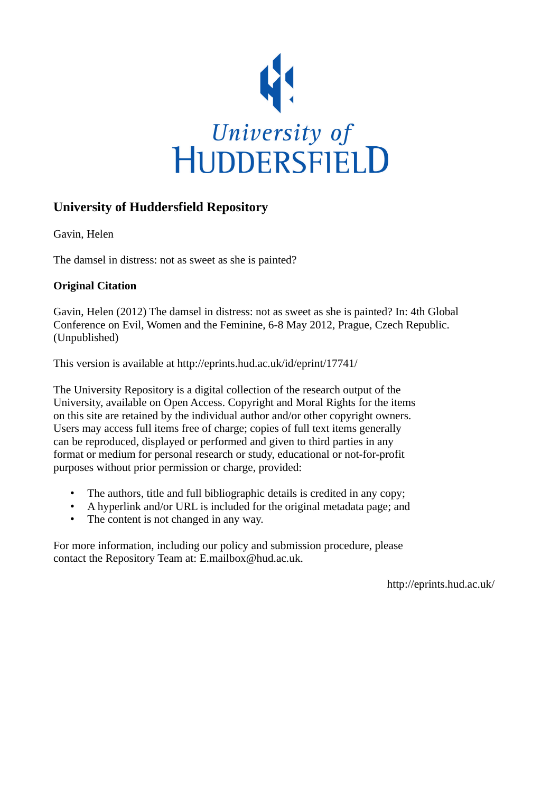

# **University of Huddersfield Repository**

Gavin, Helen

The damsel in distress: not as sweet as she is painted?

# **Original Citation**

Gavin, Helen (2012) The damsel in distress: not as sweet as she is painted? In: 4th Global Conference on Evil, Women and the Feminine, 6-8 May 2012, Prague, Czech Republic. (Unpublished)

This version is available at http://eprints.hud.ac.uk/id/eprint/17741/

The University Repository is a digital collection of the research output of the University, available on Open Access. Copyright and Moral Rights for the items on this site are retained by the individual author and/or other copyright owners. Users may access full items free of charge; copies of full text items generally can be reproduced, displayed or performed and given to third parties in any format or medium for personal research or study, educational or not-for-profit purposes without prior permission or charge, provided:

- The authors, title and full bibliographic details is credited in any copy;
- A hyperlink and/or URL is included for the original metadata page; and
- The content is not changed in any way.

For more information, including our policy and submission procedure, please contact the Repository Team at: E.mailbox@hud.ac.uk.

http://eprints.hud.ac.uk/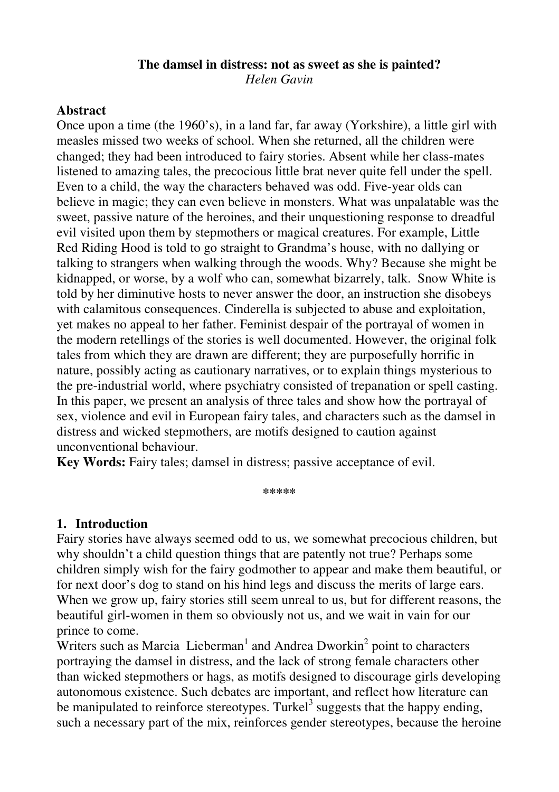# **The damsel in distress: not as sweet as she is painted?**

*Helen Gavin* 

### **Abstract**

Once upon a time (the 1960's), in a land far, far away (Yorkshire), a little girl with measles missed two weeks of school. When she returned, all the children were changed; they had been introduced to fairy stories. Absent while her class-mates listened to amazing tales, the precocious little brat never quite fell under the spell. Even to a child, the way the characters behaved was odd. Five-year olds can believe in magic; they can even believe in monsters. What was unpalatable was the sweet, passive nature of the heroines, and their unquestioning response to dreadful evil visited upon them by stepmothers or magical creatures. For example, Little Red Riding Hood is told to go straight to Grandma's house, with no dallying or talking to strangers when walking through the woods. Why? Because she might be kidnapped, or worse, by a wolf who can, somewhat bizarrely, talk. Snow White is told by her diminutive hosts to never answer the door, an instruction she disobeys with calamitous consequences. Cinderella is subjected to abuse and exploitation, yet makes no appeal to her father. Feminist despair of the portrayal of women in the modern retellings of the stories is well documented. However, the original folk tales from which they are drawn are different; they are purposefully horrific in nature, possibly acting as cautionary narratives, or to explain things mysterious to the pre-industrial world, where psychiatry consisted of trepanation or spell casting. In this paper, we present an analysis of three tales and show how the portrayal of sex, violence and evil in European fairy tales, and characters such as the damsel in distress and wicked stepmothers, are motifs designed to caution against unconventional behaviour.

**Key Words:** Fairy tales; damsel in distress; passive acceptance of evil.

**\*\*\*\*\*** 

## **1. Introduction**

Fairy stories have always seemed odd to us, we somewhat precocious children, but why shouldn't a child question things that are patently not true? Perhaps some children simply wish for the fairy godmother to appear and make them beautiful, or for next door's dog to stand on his hind legs and discuss the merits of large ears. When we grow up, fairy stories still seem unreal to us, but for different reasons, the beautiful girl-women in them so obviously not us, and we wait in vain for our prince to come.

Writers such as Marcia Lieberman<sup>1</sup> and Andrea Dworkin<sup>2</sup> point to characters portraying the damsel in distress, and the lack of strong female characters other than wicked stepmothers or hags, as motifs designed to discourage girls developing autonomous existence. Such debates are important, and reflect how literature can be manipulated to reinforce stereotypes. Turkel<sup>3</sup> suggests that the happy ending, such a necessary part of the mix, reinforces gender stereotypes, because the heroine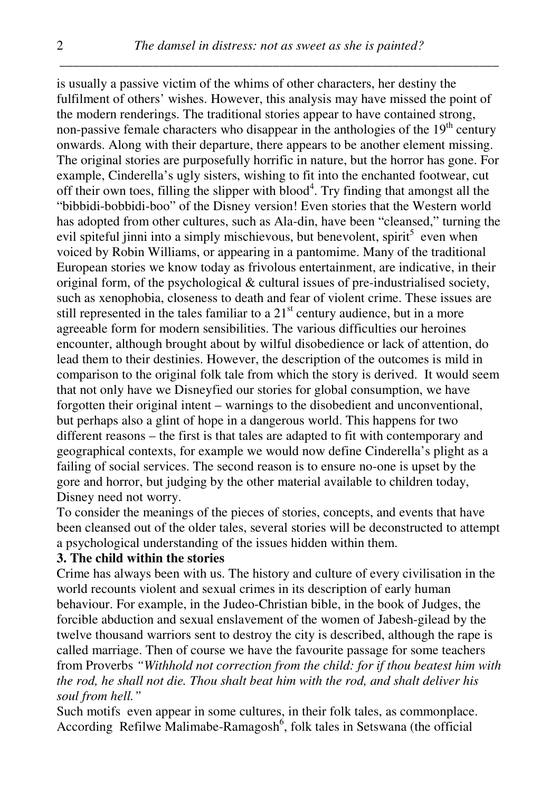is usually a passive victim of the whims of other characters, her destiny the fulfilment of others' wishes. However, this analysis may have missed the point of the modern renderings. The traditional stories appear to have contained strong, non-passive female characters who disappear in the anthologies of the  $19<sup>th</sup>$  century onwards. Along with their departure, there appears to be another element missing. The original stories are purposefully horrific in nature, but the horror has gone. For example, Cinderella's ugly sisters, wishing to fit into the enchanted footwear, cut off their own toes, filling the slipper with blood<sup>4</sup>. Try finding that amongst all the "bibbidi-bobbidi-boo" of the Disney version! Even stories that the Western world has adopted from other cultures, such as Ala-din, have been "cleansed," turning the evil spiteful jinni into a simply mischievous, but benevolent, spirit<sup>5</sup> even when voiced by Robin Williams, or appearing in a pantomime. Many of the traditional European stories we know today as frivolous entertainment, are indicative, in their original form, of the psychological & cultural issues of pre-industrialised society, such as xenophobia, closeness to death and fear of violent crime. These issues are still represented in the tales familiar to a  $21<sup>st</sup>$  century audience, but in a more agreeable form for modern sensibilities. The various difficulties our heroines encounter, although brought about by wilful disobedience or lack of attention, do lead them to their destinies. However, the description of the outcomes is mild in comparison to the original folk tale from which the story is derived. It would seem that not only have we Disneyfied our stories for global consumption, we have forgotten their original intent – warnings to the disobedient and unconventional, but perhaps also a glint of hope in a dangerous world. This happens for two different reasons – the first is that tales are adapted to fit with contemporary and geographical contexts, for example we would now define Cinderella's plight as a failing of social services. The second reason is to ensure no-one is upset by the gore and horror, but judging by the other material available to children today, Disney need not worry.

To consider the meanings of the pieces of stories, concepts, and events that have been cleansed out of the older tales, several stories will be deconstructed to attempt a psychological understanding of the issues hidden within them.

#### **3. The child within the stories**

Crime has always been with us. The history and culture of every civilisation in the world recounts violent and sexual crimes in its description of early human behaviour. For example, in the Judeo-Christian bible, in the book of Judges, the forcible abduction and sexual enslavement of the women of Jabesh-gilead by the twelve thousand warriors sent to destroy the city is described, although the rape is called marriage. Then of course we have the favourite passage for some teachers from Proverbs *"Withhold not correction from the child: for if thou beatest him with the rod, he shall not die. Thou shalt beat him with the rod, and shalt deliver his soul from hell."* 

Such motifs even appear in some cultures, in their folk tales, as commonplace. According Refilwe Malimabe-Ramagosh<sup>6</sup>, folk tales in Setswana (the official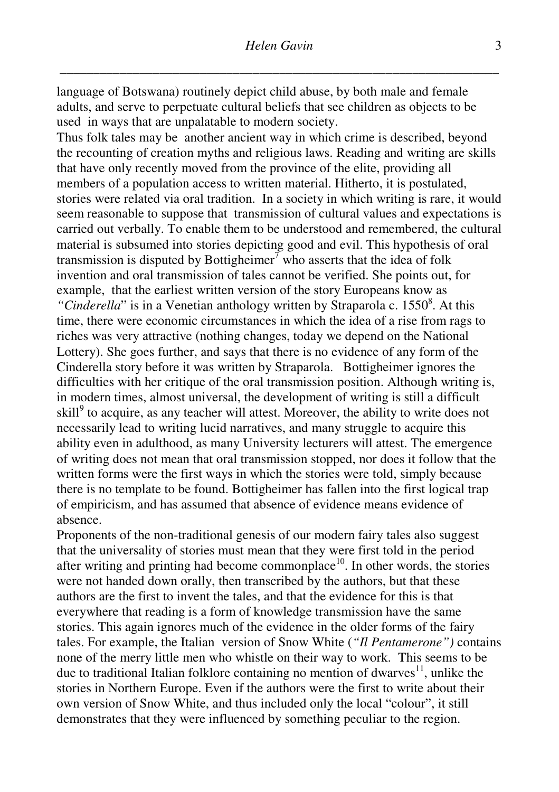language of Botswana) routinely depict child abuse, by both male and female adults, and serve to perpetuate cultural beliefs that see children as objects to be used in ways that are unpalatable to modern society.

Thus folk tales may be another ancient way in which crime is described, beyond the recounting of creation myths and religious laws. Reading and writing are skills that have only recently moved from the province of the elite, providing all members of a population access to written material. Hitherto, it is postulated, stories were related via oral tradition. In a society in which writing is rare, it would seem reasonable to suppose that transmission of cultural values and expectations is carried out verbally. To enable them to be understood and remembered, the cultural material is subsumed into stories depicting good and evil. This hypothesis of oral transmission is disputed by Bottigheimer<sup>7</sup> who asserts that the idea of folk invention and oral transmission of tales cannot be verified. She points out, for example, that the earliest written version of the story Europeans know as "Cinderella" is in a Venetian anthology written by Straparola c. 1550<sup>8</sup>. At this time, there were economic circumstances in which the idea of a rise from rags to riches was very attractive (nothing changes, today we depend on the National Lottery). She goes further, and says that there is no evidence of any form of the Cinderella story before it was written by Straparola. Bottigheimer ignores the difficulties with her critique of the oral transmission position. Although writing is, in modern times, almost universal, the development of writing is still a difficult skill<sup>9</sup> to acquire, as any teacher will attest. Moreover, the ability to write does not necessarily lead to writing lucid narratives, and many struggle to acquire this ability even in adulthood, as many University lecturers will attest. The emergence of writing does not mean that oral transmission stopped, nor does it follow that the written forms were the first ways in which the stories were told, simply because there is no template to be found. Bottigheimer has fallen into the first logical trap of empiricism, and has assumed that absence of evidence means evidence of absence.

Proponents of the non-traditional genesis of our modern fairy tales also suggest that the universality of stories must mean that they were first told in the period after writing and printing had become commonplace<sup>10</sup>. In other words, the stories were not handed down orally, then transcribed by the authors, but that these authors are the first to invent the tales, and that the evidence for this is that everywhere that reading is a form of knowledge transmission have the same stories. This again ignores much of the evidence in the older forms of the fairy tales. For example, the Italian version of Snow White (*"Il Pentamerone")* contains none of the merry little men who whistle on their way to work. This seems to be due to traditional Italian folklore containing no mention of dwarves $11$ , unlike the stories in Northern Europe. Even if the authors were the first to write about their own version of Snow White, and thus included only the local "colour", it still demonstrates that they were influenced by something peculiar to the region.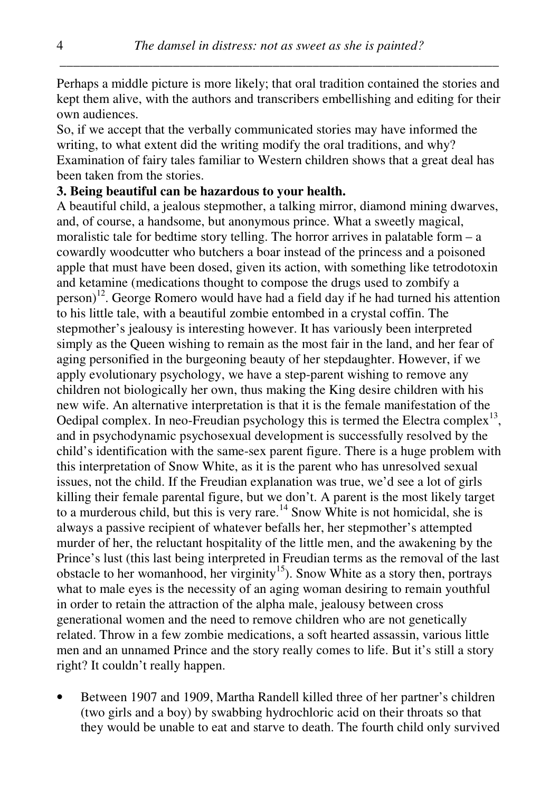Perhaps a middle picture is more likely; that oral tradition contained the stories and kept them alive, with the authors and transcribers embellishing and editing for their own audiences.

So, if we accept that the verbally communicated stories may have informed the writing, to what extent did the writing modify the oral traditions, and why? Examination of fairy tales familiar to Western children shows that a great deal has been taken from the stories.

#### **3. Being beautiful can be hazardous to your health.**

A beautiful child, a jealous stepmother, a talking mirror, diamond mining dwarves, and, of course, a handsome, but anonymous prince. What a sweetly magical, moralistic tale for bedtime story telling. The horror arrives in palatable form  $- a$ cowardly woodcutter who butchers a boar instead of the princess and a poisoned apple that must have been dosed, given its action, with something like tetrodotoxin and ketamine (medications thought to compose the drugs used to zombify a person)<sup>12</sup>. George Romero would have had a field day if he had turned his attention to his little tale, with a beautiful zombie entombed in a crystal coffin. The stepmother's jealousy is interesting however. It has variously been interpreted simply as the Queen wishing to remain as the most fair in the land, and her fear of aging personified in the burgeoning beauty of her stepdaughter. However, if we apply evolutionary psychology, we have a step-parent wishing to remove any children not biologically her own, thus making the King desire children with his new wife. An alternative interpretation is that it is the female manifestation of the Oedipal complex. In neo-Freudian psychology this is termed the Electra complex $^{13}$ , and in psychodynamic psychosexual development is successfully resolved by the child's identification with the same-sex parent figure. There is a huge problem with this interpretation of Snow White, as it is the parent who has unresolved sexual issues, not the child. If the Freudian explanation was true, we'd see a lot of girls killing their female parental figure, but we don't. A parent is the most likely target to a murderous child, but this is very rare.<sup>14</sup> Snow White is not homicidal, she is always a passive recipient of whatever befalls her, her stepmother's attempted murder of her, the reluctant hospitality of the little men, and the awakening by the Prince's lust (this last being interpreted in Freudian terms as the removal of the last obstacle to her womanhood, her virginity<sup>15</sup>). Snow White as a story then, portrays what to male eyes is the necessity of an aging woman desiring to remain youthful in order to retain the attraction of the alpha male, jealousy between cross generational women and the need to remove children who are not genetically related. Throw in a few zombie medications, a soft hearted assassin, various little men and an unnamed Prince and the story really comes to life. But it's still a story right? It couldn't really happen.

• Between 1907 and 1909, Martha Randell killed three of her partner's children (two girls and a boy) by swabbing hydrochloric acid on their throats so that they would be unable to eat and starve to death. The fourth child only survived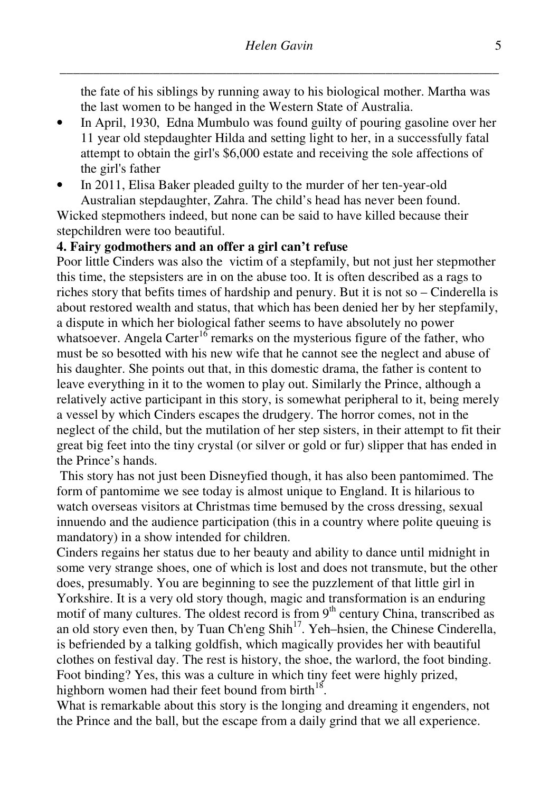the fate of his siblings by running away to his biological mother. Martha was the last women to be hanged in the Western State of Australia.

- In April, 1930, Edna Mumbulo was found guilty of pouring gasoline over her 11 year old stepdaughter Hilda and setting light to her, in a successfully fatal attempt to obtain the girl's \$6,000 estate and receiving the sole affections of the girl's father
- In 2011, Elisa Baker pleaded guilty to the murder of her ten-year-old

Australian stepdaughter, Zahra. The child's head has never been found. Wicked stepmothers indeed, but none can be said to have killed because their stepchildren were too beautiful.

#### **4. Fairy godmothers and an offer a girl can't refuse**

Poor little Cinders was also the victim of a stepfamily, but not just her stepmother this time, the stepsisters are in on the abuse too. It is often described as a rags to riches story that befits times of hardship and penury. But it is not so – Cinderella is about restored wealth and status, that which has been denied her by her stepfamily, a dispute in which her biological father seems to have absolutely no power whatsoever. Angela Carter<sup>16</sup> remarks on the mysterious figure of the father, who must be so besotted with his new wife that he cannot see the neglect and abuse of his daughter. She points out that, in this domestic drama, the father is content to leave everything in it to the women to play out. Similarly the Prince, although a relatively active participant in this story, is somewhat peripheral to it, being merely a vessel by which Cinders escapes the drudgery. The horror comes, not in the neglect of the child, but the mutilation of her step sisters, in their attempt to fit their great big feet into the tiny crystal (or silver or gold or fur) slipper that has ended in the Prince's hands.

 This story has not just been Disneyfied though, it has also been pantomimed. The form of pantomime we see today is almost unique to England. It is hilarious to watch overseas visitors at Christmas time bemused by the cross dressing, sexual innuendo and the audience participation (this in a country where polite queuing is mandatory) in a show intended for children.

Cinders regains her status due to her beauty and ability to dance until midnight in some very strange shoes, one of which is lost and does not transmute, but the other does, presumably. You are beginning to see the puzzlement of that little girl in Yorkshire. It is a very old story though, magic and transformation is an enduring motif of many cultures. The oldest record is from  $9<sup>th</sup>$  century China, transcribed as an old story even then, by Tuan Ch'eng Shih<sup>17</sup>. Yeh–hsien, the Chinese Cinderella, is befriended by a talking goldfish, which magically provides her with beautiful clothes on festival day. The rest is history, the shoe, the warlord, the foot binding. Foot binding? Yes, this was a culture in which tiny feet were highly prized, highborn women had their feet bound from birth $^{18}$ .

What is remarkable about this story is the longing and dreaming it engenders, not the Prince and the ball, but the escape from a daily grind that we all experience.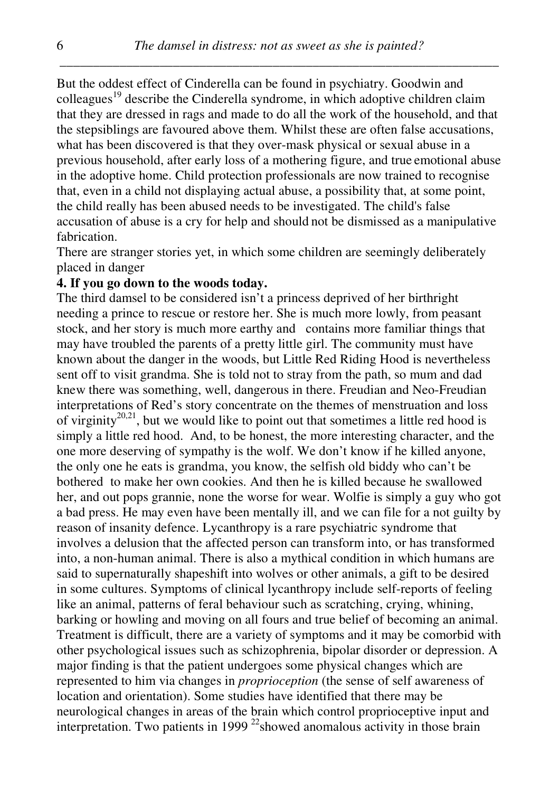But the oddest effect of Cinderella can be found in psychiatry. Goodwin and colleagues<sup>19</sup> describe the Cinderella syndrome, in which adoptive children claim that they are dressed in rags and made to do all the work of the household, and that the stepsiblings are favoured above them. Whilst these are often false accusations, what has been discovered is that they over-mask physical or sexual abuse in a previous household, after early loss of a mothering figure, and true emotional abuse in the adoptive home. Child protection professionals are now trained to recognise that, even in a child not displaying actual abuse, a possibility that, at some point, the child really has been abused needs to be investigated. The child's false accusation of abuse is a cry for help and should not be dismissed as a manipulative fabrication.

There are stranger stories yet, in which some children are seemingly deliberately placed in danger

#### **4. If you go down to the woods today.**

The third damsel to be considered isn't a princess deprived of her birthright needing a prince to rescue or restore her. She is much more lowly, from peasant stock, and her story is much more earthy and contains more familiar things that may have troubled the parents of a pretty little girl. The community must have known about the danger in the woods, but Little Red Riding Hood is nevertheless sent off to visit grandma. She is told not to stray from the path, so mum and dad knew there was something, well, dangerous in there. Freudian and Neo-Freudian interpretations of Red's story concentrate on the themes of menstruation and loss of virginity<sup>20,21</sup>, but we would like to point out that sometimes a little red hood is simply a little red hood. And, to be honest, the more interesting character, and the one more deserving of sympathy is the wolf. We don't know if he killed anyone, the only one he eats is grandma, you know, the selfish old biddy who can't be bothered to make her own cookies. And then he is killed because he swallowed her, and out pops grannie, none the worse for wear. Wolfie is simply a guy who got a bad press. He may even have been mentally ill, and we can file for a not guilty by reason of insanity defence. Lycanthropy is a rare psychiatric syndrome that involves a delusion that the affected person can transform into, or has transformed into, a non-human animal. There is also a mythical condition in which humans are said to supernaturally shapeshift into wolves or other animals, a gift to be desired in some cultures. Symptoms of clinical lycanthropy include self-reports of feeling like an animal, patterns of feral behaviour such as scratching, crying, whining, barking or howling and moving on all fours and true belief of becoming an animal. Treatment is difficult, there are a variety of symptoms and it may be comorbid with other psychological issues such as schizophrenia, bipolar disorder or depression. A major finding is that the patient undergoes some physical changes which are represented to him via changes in *proprioception* (the sense of self awareness of location and orientation). Some studies have identified that there may be neurological changes in areas of the brain which control proprioceptive input and interpretation. Two patients in 1999<sup>22</sup>showed anomalous activity in those brain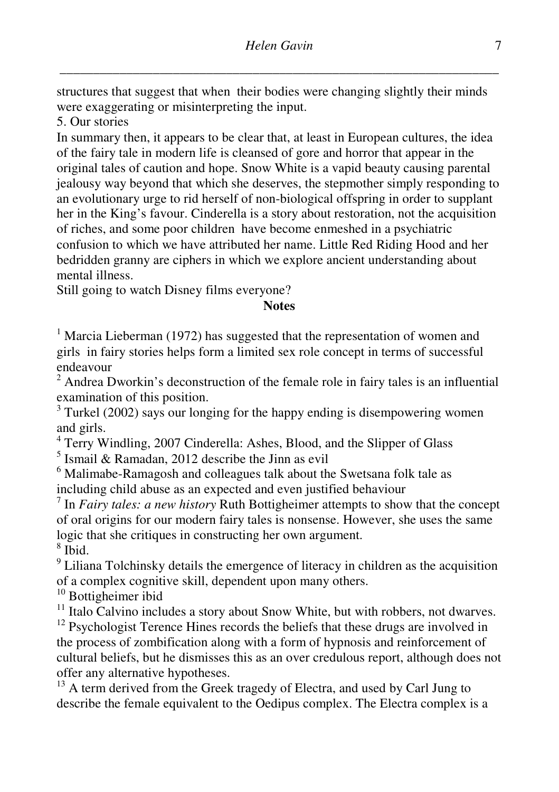structures that suggest that when their bodies were changing slightly their minds were exaggerating or misinterpreting the input.

5. Our stories

In summary then, it appears to be clear that, at least in European cultures, the idea of the fairy tale in modern life is cleansed of gore and horror that appear in the original tales of caution and hope. Snow White is a vapid beauty causing parental jealousy way beyond that which she deserves, the stepmother simply responding to an evolutionary urge to rid herself of non-biological offspring in order to supplant her in the King's favour. Cinderella is a story about restoration, not the acquisition of riches, and some poor children have become enmeshed in a psychiatric confusion to which we have attributed her name. Little Red Riding Hood and her bedridden granny are ciphers in which we explore ancient understanding about mental illness.

Still going to watch Disney films everyone?

### **Notes**

 $1$  Marcia Lieberman (1972) has suggested that the representation of women and girls in fairy stories helps form a limited sex role concept in terms of successful endeavour

 $2^2$  Andrea Dworkin's deconstruction of the female role in fairy tales is an influential examination of this position.

 $3$  Turkel (2002) says our longing for the happy ending is disempowering women and girls.

<sup>4</sup> Terry Windling, 2007 Cinderella: Ashes, Blood, and the Slipper of Glass

 $<sup>5</sup>$  Ismail & Ramadan, 2012 describe the Jinn as evil</sup>

<sup>6</sup> Malimabe-Ramagosh and colleagues talk about the Swetsana folk tale as including child abuse as an expected and even justified behaviour

7 In *Fairy tales: a new history* Ruth Bottigheimer attempts to show that the concept of oral origins for our modern fairy tales is nonsense. However, she uses the same logic that she critiques in constructing her own argument. 8 Ibid.

<sup>9</sup> Liliana Tolchinsky details the emergence of literacy in children as the acquisition of a complex cognitive skill, dependent upon many others.

<sup>10</sup> Bottigheimer ibid

 $11$  Italo Calvino includes a story about Snow White, but with robbers, not dwarves.

<sup>12</sup> Psychologist Terence Hines records the beliefs that these drugs are involved in the process of zombification along with a form of hypnosis and reinforcement of cultural beliefs, but he dismisses this as an over credulous report, although does not offer any alternative hypotheses.

<sup>13</sup> A term derived from the Greek tragedy of Electra, and used by Carl Jung to describe the female equivalent to the Oedipus complex. The Electra complex is a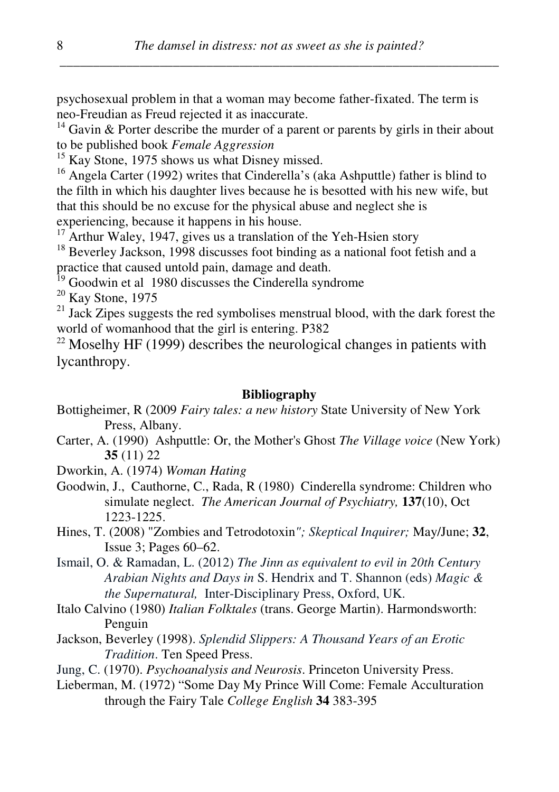psychosexual problem in that a woman may become father-fixated. The term is neo-Freudian as Freud rejected it as inaccurate.

 $14$  Gavin & Porter describe the murder of a parent or parents by girls in their about to be published book *Female Aggression*

 $15$  Kay Stone, 1975 shows us what Disney missed.

<sup>16</sup> Angela Carter (1992) writes that Cinderella's (aka Ashputtle) father is blind to the filth in which his daughter lives because he is besotted with his new wife, but that this should be no excuse for the physical abuse and neglect she is experiencing, because it happens in his house.

 $17$  Arthur Waley, 1947, gives us a translation of the Yeh-Hsien story

<sup>18</sup> Beverley Jackson, 1998 discusses foot binding as a national foot fetish and a practice that caused untold pain, damage and death.

<sup>19</sup> Goodwin et al 1980 discusses the Cinderella syndrome

 $20$  Kay Stone, 1975

 $^{21}$  Jack Zipes suggests the red symbolises menstrual blood, with the dark forest the world of womanhood that the girl is entering. P382

 $22$  Moselhy HF (1999) describes the neurological changes in patients with lycanthropy.

#### **Bibliography**

- Bottigheimer, R (2009 *Fairy tales: a new history* State University of New York Press, Albany.
- Carter, A. (1990) Ashputtle: Or, the Mother's Ghost *The Village voice* (New York) **35** (11) 22
- Dworkin, A. (1974) *Woman Hating*
- Goodwin, J., Cauthorne, C., Rada, R (1980) Cinderella syndrome: Children who simulate neglect. *The American Journal of Psychiatry,* **137**(10), Oct 1223-1225.
- Hines, T. (2008) "Zombies and Tetrodotoxin*"; Skeptical Inquirer;* May/June; **32**, Issue 3; Pages 60–62.

Ismail, O. & Ramadan, L. (2012) *The Jinn as equivalent to evil in 20th Century Arabian Nights and Days in* S. Hendrix and T. Shannon (eds) *Magic & the Supernatural,* Inter-Disciplinary Press, Oxford, UK.

- Italo Calvino (1980) *Italian Folktales* (trans. George Martin). Harmondsworth: Penguin
- Jackson, Beverley (1998). *Splendid Slippers: A Thousand Years of an Erotic Tradition*. Ten Speed Press.

Jung, C. (1970). *Psychoanalysis and Neurosis*. Princeton University Press.

Lieberman, M. (1972) "Some Day My Prince Will Come: Female Acculturation through the Fairy Tale *College English* **34** 383-395